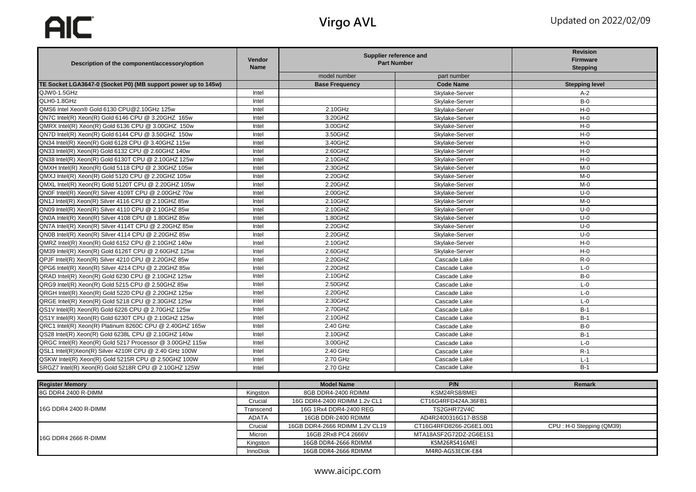AIC

| Description of the component/accessory/option                 | Vendor<br><b>Name</b> | Supplier reference and<br><b>Part Number</b> |                  | <b>Revision</b><br><b>Firmware</b><br><b>Stepping</b> |
|---------------------------------------------------------------|-----------------------|----------------------------------------------|------------------|-------------------------------------------------------|
|                                                               |                       | model number                                 | part number      |                                                       |
| TE Socket LGA3647-0 (Socket P0) (MB support power up to 145w) |                       | <b>Base Frequency</b>                        | <b>Code Name</b> | <b>Stepping level</b>                                 |
| QJW0-1.5GHz                                                   | Intel                 |                                              | Skylake-Server   | $A-2$                                                 |
| QLH0-1.8GHz                                                   | Intel                 |                                              | Skylake-Server   | $B-0$                                                 |
| QMS6 Intel Xeon® Gold 6130 CPU@2.10GHz 125w                   | Intel                 | 2.10GHz                                      | Skylake-Server   | $H - 0$                                               |
| QN7C Intel(R) Xeon(R) Gold 6146 CPU @ 3.20GHZ 165w            | Intel                 | 3.20GHZ                                      | Skylake-Server   | $H - 0$                                               |
| QMRX Intel(R) Xeon(R) Gold 6136 CPU @ 3.00GHZ 150w            | Intel                 | 3.00GHZ                                      | Skylake-Server   | $H - 0$                                               |
| QN7D Intel(R) Xeon(R) Gold 6144 CPU @ 3.50GHZ 150w            | Intel                 | 3.50GHZ                                      | Skylake-Server   | $H - 0$                                               |
| QN34 Intel(R) Xeon(R) Gold 6128 CPU @ 3.40GHZ 115w            | Intel                 | 3.40GHZ                                      | Skylake-Server   | $H - 0$                                               |
| QN33 Intel(R) Xeon(R) Gold 6132 CPU @ 2.60GHZ 140w            | Intel                 | 2.60GHZ                                      | Skylake-Server   | $H - 0$                                               |
| QN38 Intel(R) Xeon(R) Gold 6130T CPU @ 2.10GHZ 125w           | Intel                 | 2.10GHZ                                      | Skylake-Server   | $H - 0$                                               |
| QMXH Intel(R) Xeon(R) Gold 5118 CPU @ 2.30GHZ 105w            | Intel                 | 2.30GHZ                                      | Skylake-Server   | $M - 0$                                               |
| QMXJ Intel(R) Xeon(R) Gold 5120 CPU @ 2.20GHZ 105w            | Intel                 | 2.20GHZ                                      | Skylake-Server   | $M - 0$                                               |
| QMXL Intel(R) Xeon(R) Gold 5120T CPU @ 2.20GHZ 105w           | Intel                 | 2.20GHZ                                      | Skylake-Server   | $M - O$                                               |
| QN0F Intel(R) Xeon(R) Silver 4109T CPU @ 2.00GHZ 70w          | Intel                 | 2.00GHZ                                      | Skylake-Server   | $U-0$                                                 |
| QN1J Intel(R) Xeon(R) Silver 4116 CPU @ 2.10GHZ 85w           | Intel                 | 2.10GHZ                                      | Skylake-Server   | $M-0$                                                 |
| QN09 Intel(R) Xeon(R) Silver 4110 CPU @ 2.10GHZ 85w           | Intel                 | 2.10GHZ                                      | Skylake-Server   | $U-0$                                                 |
| QN0A Intel(R) Xeon(R) Silver 4108 CPU @ 1.80GHZ 85w           | Intel                 | 1.80GHZ                                      | Skylake-Server   | $U-0$                                                 |
| QN7A Intel(R) Xeon(R) Silver 4114T CPU @ 2.20GHZ 85w          | Intel                 | 2.20GHZ                                      | Skylake-Server   | $U-0$                                                 |
| QN0B Intel(R) Xeon(R) Silver 4114 CPU @ 2.20GHZ 85w           | Intel                 | 2.20GHZ                                      | Skylake-Server   | $U-0$                                                 |
| QMRZ Intel(R) Xeon(R) Gold 6152 CPU @ 2.10GHZ 140w            | Intel                 | 2.10GHZ                                      | Skylake-Server   | $H - 0$                                               |
| QM39 Intel(R) Xeon(R) Gold 6126T CPU @ 2.60GHZ 125w           | Intel                 | 2.60GHZ                                      | Skylake-Server   | $H - 0$                                               |
| QPJF Intel(R) Xeon(R) Silver 4210 CPU @ 2.20GHZ 85w           | Intel                 | 2.20GHZ                                      | Cascade Lake     | $R-0$                                                 |
| QPG6 Intel(R) Xeon(R) Silver 4214 CPU @ 2.20GHZ 85w           | Intel                 | 2.20GHZ                                      | Cascade Lake     | $L - 0$                                               |
| QRAD Intel(R) Xeon(R) Gold 6230 CPU @ 2.10GHZ 125w            | Intel                 | 2.10GHZ                                      | Cascade Lake     | $B-0$                                                 |
| QRG9 Intel(R) Xeon(R) Gold 5215 CPU @ 2.50GHZ 85w             | Intel                 | 2.50GHZ                                      | Cascade Lake     | $L - 0$                                               |
| QRGH Intel(R) Xeon(R) Gold 5220 CPU @ 2.20GHZ 125w            | Intel                 | 2.20GHZ                                      | Cascade Lake     | $L - 0$                                               |
| QRGE Intel(R) Xeon(R) Gold 5218 CPU @ 2.30GHZ 125w            | Intel                 | 2.30GHZ                                      | Cascade Lake     | $L - 0$                                               |
| QS1V Intel(R) Xeon(R) Gold 6226 CPU @ 2.70GHZ 125w            | Intel                 | 2.70GHZ                                      | Cascade Lake     | $B-1$                                                 |
| QS1Y Intel(R) Xeon(R) Gold 6230T CPU @ 2.10GHZ 125w           | Intel                 | 2.10GHZ                                      | Cascade Lake     | $B-1$                                                 |
| QRC1 Intel(R) Xeon(R) Platinum 8260C CPU @ 2.40GHZ 165w       | Intel                 | 2.40 GHz                                     | Cascade Lake     | $B-0$                                                 |
| QS28 Intel(R) Xeon(R) Gold 6238L CPU @ 2.10GHZ 140w           | Intel                 | 2.10GHZ                                      | Cascade Lake     | $B-1$                                                 |
| QRGC Intel(R) Xeon(R) Gold 5217 Processor @ 3.00GHZ 115w      | Intel                 | 3.00GHZ                                      | Cascade Lake     | $L - 0$                                               |
| QSL1 Intel(R)Xeon(R) Silver 4210R CPU @ 2.40 GHz 100W         | Intel                 | 2.40 GHz                                     | Cascade Lake     | $R-1$                                                 |
| QSKW Intel(R) Xeon(R) Gold 5215R CPU @ 2.50GHZ 100W           | Intel                 | 2.70 GHz                                     | Cascade Lake     | $L-1$                                                 |
| SRGZ7 Intel(R) Xeon(R) Gold 5218R CPU @ 2.10GHZ 125W          | Intel                 | 2.70 GHz                                     | Cascade Lake     | $B-1$                                                 |

| <b>Register Memory</b> |                 | <b>Model Name</b>              | P/N                     | <b>Remark</b>            |
|------------------------|-----------------|--------------------------------|-------------------------|--------------------------|
| 8G DDR4 2400 R-DIMM    | Kingston        | 8GB DDR4-2400 RDIMM            | KSM24RS8/8MEI           |                          |
| 16G DDR4 2400 R-DIMM   | Crucial         | 16G DDR4-2400 RDIMM 1.2v CL1   | CT16G4RFD424A.36FB1     |                          |
|                        | Transcend       | 16G 1Rx4 DDR4-2400 REG         | TS2GHR72V4C             |                          |
|                        | <b>ADATA</b>    | 16GB DDR-2400 RDIMM            | AD4R2400316G17-BSSB     |                          |
|                        | Crucial         | 16GB DDR4-2666 RDIMM 1.2V CL19 | CT16G4RFD8266-2G6E1.001 | CPU: H-0 Stepping (QM39) |
| 16G DDR4 2666 R-DIMM   | Micron          | 16GB 2Rx8 PC4 2666V            | MTA18ASF2G72DZ-2G6E1S1  |                          |
|                        | Kingston        | 16GB DDR4-2666 RDIMM           | KSM26RS416MEI           |                          |
|                        | <b>InnoDisk</b> | 16GB DDR4-2666 RDIMM           | M4R0-AGS3ECIK-E84       |                          |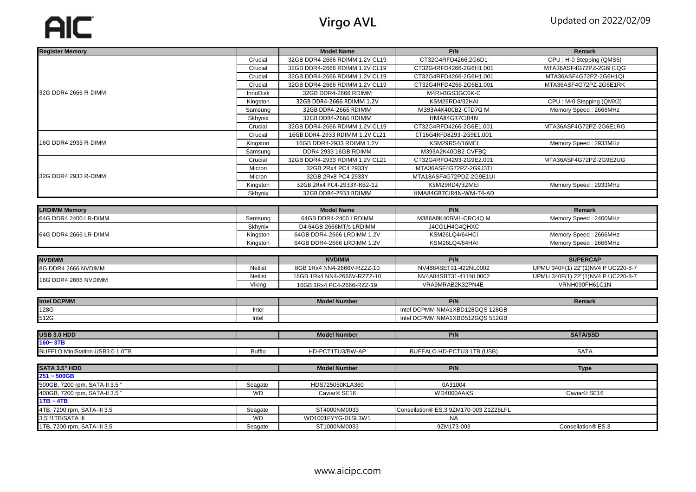## AIC

| <b>Register Memory</b>          |                 | <b>Model Name</b>              | P/N                                    | Remark                             |
|---------------------------------|-----------------|--------------------------------|----------------------------------------|------------------------------------|
|                                 | Crucial         | 32GB DDR4-2666 RDIMM 1.2V CL19 | CT32G4RFD4266.2G6D1                    | CPU: H-0 Stepping (QMS6)           |
|                                 | Crucial         | 32GB DDR4-2666 RDIMM 1.2V CL19 | CT32G4RFD4266-2G6H1.001                | MTA36ASF4G72PZ-2G6H1QG             |
|                                 | Crucial         | 32GB DDR4-2666 RDIMM 1.2V CL19 | CT32G4RFD4266-2G6H1.001                | MTA36ASF4G72PZ-2G6H1QI             |
|                                 | Crucial         | 32GB DDR4-2666 RDIMM 1.2V CL19 | CT32G4RFD4266-2G6E1.001                | MTA36ASF4G72PZ-2G6E1RK             |
| 32G DDR4 2666 R-DIMM            | <b>InnoDisk</b> | 32GB DDR4-2666 RDIMM           | M4RI-BGS3GC0K-C                        |                                    |
|                                 | Kingston        | 32GB DDR4-2666 RDIMM 1.2V      | KSM26RD4/32HAI                         | CPU: M-0 Stepping (QMXJ)           |
|                                 | Samsung         | 32GB DDR4-2666 RDIMM           | M393A4K40CB2-CTD7Q M                   | Memory Speed: 2666MHz              |
|                                 | Skhynix         | 32GB DDR4-2666 RDIMM           | HMA84GR7CJR4N                          |                                    |
|                                 | Crucial         | 32GB DDR4-2666 RDIMM 1.2V CL19 | CT32G4RFD4266-2G6E1.001                | MTA36ASF4G72PZ-2G6E1RG             |
|                                 | Crucial         | 16GB DDR4-2933 RDIMM 1.2V CL21 | CT16G4RFD8293-2G9E1.001                |                                    |
| 16G DDR4 2933 R-DIMM            | Kingston        | 16GB DDR4-2933 RDIMM 1.2V      | KSM29RS4/16MEI                         | Memory Speed: 2933MHz              |
|                                 | Samsung         | DDR4 2933 16GB RDIMM           | M393A2K40DB2-CVFBQ                     |                                    |
|                                 | Crucial         | 32GB DDR4-2933 RDIMM 1.2V CL21 | CT32G4RFD4293-2G9E2.001                | MTA36ASF4G72PZ-2G9E2UG             |
|                                 | Micron          | 32GB 2Rx4 PC4 2933Y            | MTA36ASF4G72PZ-2G9J3TI                 |                                    |
| 32G DDR4 2933 R-DIMM            | Micron          | 32GB 2Rx8 PC4 2933Y            | MTA18ASF4G72PDZ-2G9E1UI                |                                    |
|                                 | Kingston        | 32GB 2Rx4 PC4-2933Y-RB2-12     | KSM29RD4/32MEI                         | Memory Speed: 2933MHz              |
|                                 | Skhynix         | 32GB DDR4-2933 RDIMM           | HMA84GR7CJR4N-WM-T4-AD                 |                                    |
|                                 |                 |                                |                                        |                                    |
| <b>LRDIMM Memory</b>            |                 | <b>Model Name</b>              | P/N                                    | <b>Remark</b>                      |
| 64G DDR4 2400 LR-DIMM           | Samsung         | 64GB DDR4-2400 LRDIMM          | M386A8K40BM1-CRC4Q M                   | Memory Speed: 2400MHz              |
|                                 | Skhynix         | D4 64GB 2666MT/s LRDIMM        | J4CGLH4G4QHXC                          |                                    |
| 64G DDR4 2666 LR-DIMM           | Kingston        | 64GB DDR4-2666 LRDIMM 1.2V     | KSM26LQ4/64HCI                         | Memory Speed: 2666MHz              |
|                                 | Kingston        | 64GB DDR4-2666 LRDIMM 1.2V     | KSM26LQ4/64HAI                         | Memory Speed: 2666MHz              |
| <b>NVDIMM</b>                   |                 | <b>NVDIMM</b>                  | P/N                                    | <b>SUPERCAP</b>                    |
| 8G DDR4 2666 NVDIMM             | Netlist         | 8GB 1Rx4 NN4-2666V-RZZZ-10     | NV4884SET31-422NL0002                  | UPMU 340F(1) 22"(1)NV4 P UC220-8-7 |
|                                 | <b>Netlist</b>  | 16GB 1Rx4 NN4-2666V-RZZZ-10    | NV4A84SBT31-411NL0002                  | UPMU 340F(1) 22"(1)NV4 P UC220-8-7 |
| 16G DDR4 2666 NVDIMM            | Viking          | 16GB 1Rx4 PC4-2666-RZZ-19      | VRA9MRAB2K32PN4E                       | VRNH090FH61C1N                     |
|                                 |                 |                                |                                        |                                    |
| <b>Intel DCPMM</b>              |                 | <b>Model Number</b>            | P/N                                    | Remark                             |
| 128G                            | Intel           |                                | Intel DCPMM NMA1XBD128GQS 128GB        |                                    |
| 512G                            | Intel           |                                | Intel DCPMM NMA1XBD512GQS 512GB        |                                    |
|                                 |                 |                                |                                        |                                    |
| USB 3.0 HDD                     |                 | <b>Model Number</b>            | P/N                                    | <b>SATA/SSD</b>                    |
| $160 - 3TB$                     |                 |                                |                                        |                                    |
| BUFFLO MiniStation USB3.0 1.0TB | <b>Bufflo</b>   | HD-PCT1TU3/BW-AP               | BUFFALO HD-PCTU3 1TB (USB)             | <b>SATA</b>                        |
|                                 |                 |                                |                                        |                                    |
| SATA 3.5" HDD                   |                 | <b>Model Number</b>            | P/N                                    | <b>Type</b>                        |
| $251 - 500GB$                   |                 |                                |                                        |                                    |
| 500GB, 7200 rpm, SATA-II 3.5"   | Seagate         | HDS725050KLA360                | 0A31004                                |                                    |
| 400GB, 7200 rpm, SATA-II 3.5"   | <b>WD</b>       | Caviar <sup>®</sup> SE16       | WD4000AAKS                             | Caviar® SE16                       |
| $1TB \sim 4TB$                  |                 |                                |                                        |                                    |
| 4TB, 7200 rpm, SATA-III 3.5     | Seagate         | ST4000NM0033                   | Consellation® ES.3 9ZM170-003 Z1Z26LFL |                                    |
| 3.5"/1TB/SATA III               | <b>WD</b>       | WD1001FYYG-01SL3W1             | <b>NA</b>                              |                                    |
| 1TB, 7200 rpm, SATA-III 3.5     | Seagate         | ST1000NM0033                   | 9ZM173-003                             | Consellation® ES.3                 |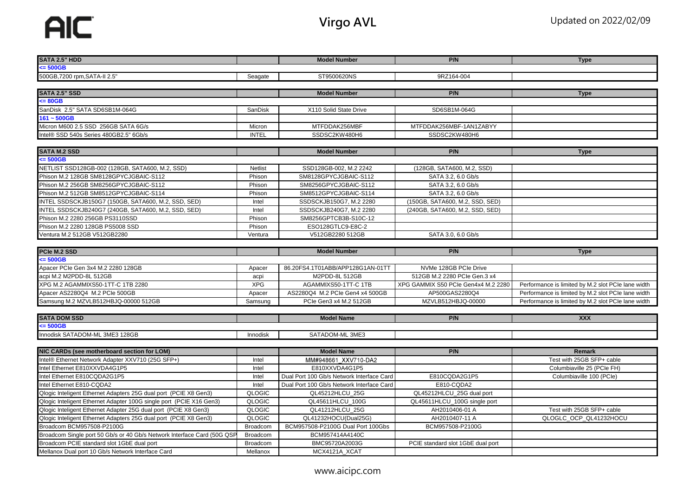| SATA 2.5" HDD                                                                                                         |                             | <b>Model Number</b>                                | P/N                                 | <b>Type</b>                                         |
|-----------------------------------------------------------------------------------------------------------------------|-----------------------------|----------------------------------------------------|-------------------------------------|-----------------------------------------------------|
| $\leq 500$ GB                                                                                                         |                             |                                                    |                                     |                                                     |
| 500GB, 7200 rpm, SATA-II 2.5"                                                                                         | Seagate                     | ST9500620NS                                        | 9RZ164-004                          |                                                     |
|                                                                                                                       |                             |                                                    |                                     |                                                     |
| <b>SATA 2.5" SSD</b>                                                                                                  |                             | <b>Model Number</b>                                | P/N                                 | <b>Type</b>                                         |
| $\leq$ 80GB                                                                                                           |                             |                                                    |                                     |                                                     |
| SanDisk 2.5" SATA SD6SB1M-064G                                                                                        | SanDisk                     | X110 Solid State Drive                             | SD6SB1M-064G                        |                                                     |
| $161 - 500GB$                                                                                                         |                             |                                                    |                                     |                                                     |
| Micron M600 2.5 SSD 256GB SATA 6G/s                                                                                   | Micron                      | MTFDDAK256MBF                                      | MTFDDAK256MBF-1AN1ZABYY             |                                                     |
| Intel® SSD 540s Series 480GB2.5" 6Gb/s                                                                                | <b>INTEL</b>                | SSDSC2KW480H6                                      | SSDSC2KW480H6                       |                                                     |
|                                                                                                                       |                             |                                                    |                                     |                                                     |
| <b>SATA M.2 SSD</b>                                                                                                   |                             | <b>Model Number</b>                                | P/N                                 | <b>Type</b>                                         |
| $\leq$ 500GB                                                                                                          |                             |                                                    |                                     |                                                     |
| NETLIST SSD128GB-002 (128GB, SATA600, M.2, SSD)                                                                       | <b>Netlist</b>              | SSD128GB-002, M.2 2242                             | (128GB, SATA600, M.2, SSD)          |                                                     |
| Phison M.2 128GB SM8128GPYCJGBAIC-S112                                                                                | Phison                      | SM8128GPYCJGBAIC-S112                              | SATA 3.2, 6.0 Gb/s                  |                                                     |
| Phison M.2 256GB SM8256GPYCJGBAIC-S112                                                                                | Phison                      | SM8256GPYCJGBAIC-S112                              | SATA 3.2, 6.0 Gb/s                  |                                                     |
| Phison M.2 512GB SM8512GPYCJGBAIC-S114                                                                                | Phison                      | SM8512GPYCJGBAIC-S114                              | SATA 3.2, 6.0 Gb/s                  |                                                     |
| INTEL SSDSCKJB150G7 (150GB, SATA600, M.2, SSD, SED)                                                                   | Intel                       | SSDSCKJB150G7, M.2 2280                            | (150GB, SATA600, M.2, SSD, SED)     |                                                     |
| INTEL SSDSCKJB240G7 (240GB, SATA600, M.2, SSD, SED)                                                                   | Intel                       | SSDSCKJB240G7, M.2 2280                            | (240GB, SATA600, M.2, SSD, SED)     |                                                     |
| Phison M.2 2280 256GB PS3110SSD                                                                                       | Phison                      | SM8256GPTCB3B-S10C-12                              |                                     |                                                     |
| Phison M.2 2280 128GB PS5008 SSD                                                                                      | Phison                      | ESO128GTLC9-E8C-2                                  |                                     |                                                     |
| Ventura M.2 512GB V512GB2280                                                                                          | Ventura                     | V512GB2280 512GB                                   | SATA 3.0, 6.0 Gb/s                  |                                                     |
| PCIe M.2 SSD                                                                                                          |                             | <b>Model Number</b>                                | P/N                                 |                                                     |
| $\leq$ 500GB                                                                                                          |                             |                                                    |                                     | <b>Type</b>                                         |
| Apacer PCIe Gen 3x4 M.2 2280 128GB                                                                                    |                             |                                                    | NVMe 128GB PCIe Drive               |                                                     |
| acpi M.2 M2PDD-8L 512GB                                                                                               | Apacer                      | 86.20FS4.1T01ABB/APP128G1AN-01TT<br>M2PDD-8L 512GB | 512GB M.2 2280 PCle Gen.3 x4        |                                                     |
| XPG M.2 AGAMMIXS50-1TT-C 1TB 2280                                                                                     | acpi<br><b>XPG</b>          | AGAMMIXS50-1TT-C 1TB                               | XPG GAMMIX S50 PCIe Gen4x4 M.2 2280 | Performance is limited by M.2 slot PCIe lane width  |
| Apacer AS2280Q4 M.2 PCIe 500GB                                                                                        | Apacer                      | AS2280Q4 M.2 PCle Gen4 x4 500GB                    | AP500GAS2280Q4                      | Performance is limited by M.2 slot PCIe lane width  |
| Samsung M.2 MZVLB512HBJQ-00000 512GB                                                                                  | Samsung                     | PCIe Gen3 x4 M.2 512GB                             | MZVLB512HBJQ-00000                  | Performance is limited by M.2 slot PCIe lane width  |
|                                                                                                                       |                             |                                                    |                                     |                                                     |
| <b>SATA DOM SSD</b>                                                                                                   |                             | <b>Model Name</b>                                  | P/N                                 | <b>XXX</b>                                          |
| $= 500GB$                                                                                                             |                             |                                                    |                                     |                                                     |
| Innodisk SATADOM-ML 3ME3 128GB                                                                                        | Innodisk                    | SATADOM-ML 3ME3                                    |                                     |                                                     |
|                                                                                                                       |                             |                                                    |                                     |                                                     |
| NIC CARDs (see motherboard section for LOM)                                                                           |                             | <b>Model Name</b>                                  | P/N                                 | <b>Remark</b>                                       |
| Intel® Ethernet Network Adapter XXV710 (25G SFP+)                                                                     |                             |                                                    |                                     |                                                     |
|                                                                                                                       |                             |                                                    |                                     |                                                     |
|                                                                                                                       | Intel                       | MM#948661 XXV710-DA2                               |                                     | Test with 25GB SFP+ cable                           |
| Intel Ethernet E810XXVDA4G1P5                                                                                         | Intel                       | E810XXVDA4G1P5                                     |                                     | Columbiaville 25 (PCIe FH)                          |
| Intel Ethernet E810CQDA2G1P5                                                                                          | Intel                       | Dual Port 100 Gb/s Network Interface Card          | E810CQDA2G1P5                       | Columbiaville 100 (PCle)                            |
| Intel Ethernet E810-CQDA2                                                                                             | Intel                       | Dual Port 100 Gb/s Network Interface Card          | E810-CQDA2                          |                                                     |
| Qlogic Inteligent Ethernet Adapters 25G dual port (PCIE X8 Gen3)                                                      | QLOGIC                      | QL45212HLCU_25G                                    | QL45212HLCU_25G dual port           |                                                     |
| Qlogic Inteligent Ethernet Adapter 100G single port (PCIE X16 Gen3)                                                   | QLOGIC                      | QL45611HLCU_100G                                   | QL45611HLCU_100G single port        |                                                     |
| Qlogic Inteligent Ethernet Adapter 25G dual port (PCIE X8 Gen3)                                                       | QLOGIC<br>QLOGIC            | QL41212HLCU_25G<br>QL41232HOCU(Dual25G)            | AH2010406-01 A                      | Test with 25GB SFP+ cable<br>QLOGLC OCP QL41232HOCU |
| Qlogic Inteligent Ethernet Adapters 25G dual port (PCIE X8 Gen3)<br>Broadcom BCM957508-P2100G                         | <b>Broadcom</b>             | BCM957508-P2100G Dual Port 100Gbs                  | AH2010407-11 A<br>BCM957508-P2100G  |                                                     |
|                                                                                                                       |                             | BCM957414A4140C                                    |                                     |                                                     |
| Broadcom Single port 50 Gb/s or 40 Gb/s Network Interface Card (50G QSF<br>Broadcom PCIE standard slot 1GbE dual port | Broadcom<br><b>Broadcom</b> | BMC95720A2003G                                     | PCIE standard slot 1GbE dual port   |                                                     |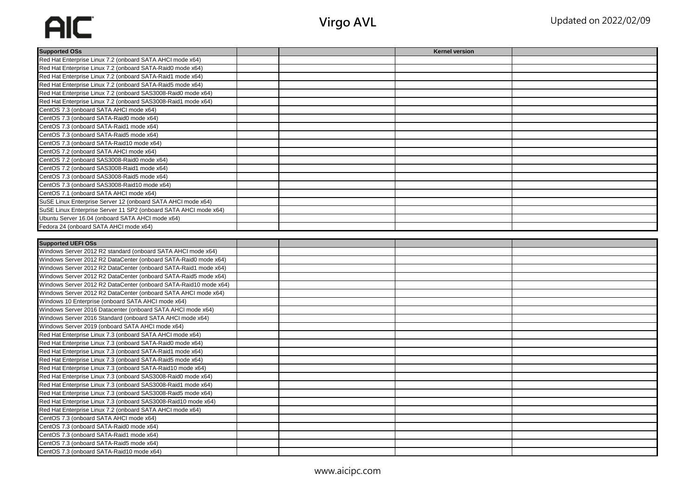## AIC

| <b>Supported OSs</b>                                                                  |  | <b>Kernel version</b> |  |
|---------------------------------------------------------------------------------------|--|-----------------------|--|
| Red Hat Enterprise Linux 7.2 (onboard SATA AHCI mode x64)                             |  |                       |  |
| Red Hat Enterprise Linux 7.2 (onboard SATA-Raid0 mode x64)                            |  |                       |  |
| Red Hat Enterprise Linux 7.2 (onboard SATA-Raid1 mode x64)                            |  |                       |  |
| Red Hat Enterprise Linux 7.2 (onboard SATA-Raid5 mode x64)                            |  |                       |  |
| Red Hat Enterprise Linux 7.2 (onboard SAS3008-Raid0 mode x64)                         |  |                       |  |
| Red Hat Enterprise Linux 7.2 (onboard SAS3008-Raid1 mode x64)                         |  |                       |  |
| CentOS 7.3 (onboard SATA AHCI mode x64)                                               |  |                       |  |
| CentOS 7.3 (onboard SATA-Raid0 mode x64)                                              |  |                       |  |
| CentOS 7.3 (onboard SATA-Raid1 mode x64)                                              |  |                       |  |
| CentOS 7.3 (onboard SATA-Raid5 mode x64)                                              |  |                       |  |
| CentOS 7.3 (onboard SATA-Raid10 mode x64)                                             |  |                       |  |
| CentOS 7.2 (onboard SATA AHCI mode x64)                                               |  |                       |  |
| CentOS 7.2 (onboard SAS3008-Raid0 mode x64)                                           |  |                       |  |
| CentOS 7.2 (onboard SAS3008-Raid1 mode x64)                                           |  |                       |  |
| CentOS 7.3 (onboard SAS3008-Raid5 mode x64)                                           |  |                       |  |
| CentOS 7.3 (onboard SAS3008-Raid10 mode x64)                                          |  |                       |  |
| CentOS 7.1 (onboard SATA AHCI mode x64)                                               |  |                       |  |
| SuSE Linux Enterprise Server 12 (onboard SATA AHCI mode x64)                          |  |                       |  |
| SuSE Linux Enterprise Server 11 SP2 (onboard SATA AHCI mode x64)                      |  |                       |  |
| Ubuntu Server 16.04 (onboard SATA AHCI mode x64)                                      |  |                       |  |
| Fedora 24 (onboard SATA AHCI mode x64)                                                |  |                       |  |
|                                                                                       |  |                       |  |
| <b>Supported UEFI OSs</b>                                                             |  |                       |  |
| Windows Server 2012 R2 standard (onboard SATA AHCI mode x64)                          |  |                       |  |
|                                                                                       |  |                       |  |
| Windows Server 2012 R2 DataCenter (onboard SATA-Raid0 mode x64)                       |  |                       |  |
| Windows Server 2012 R2 DataCenter (onboard SATA-Raid1 mode x64)                       |  |                       |  |
| Windows Server 2012 R2 DataCenter (onboard SATA-Raid5 mode x64)                       |  |                       |  |
| Windows Server 2012 R2 DataCenter (onboard SATA-Raid10 mode x64)                      |  |                       |  |
| Windows Server 2012 R2 DataCenter (onboard SATA AHCI mode x64)                        |  |                       |  |
| Windows 10 Enterprise (onboard SATA AHCI mode x64)                                    |  |                       |  |
| Windows Server 2016 Datacenter (onboard SATA AHCI mode x64)                           |  |                       |  |
| Windows Server 2016 Standard (onboard SATA AHCI mode x64)                             |  |                       |  |
| Windows Server 2019 (onboard SATA AHCI mode x64)                                      |  |                       |  |
| Red Hat Enterprise Linux 7.3 (onboard SATA AHCI mode x64)                             |  |                       |  |
| Red Hat Enterprise Linux 7.3 (onboard SATA-Raid0 mode x64)                            |  |                       |  |
| Red Hat Enterprise Linux 7.3 (onboard SATA-Raid1 mode x64)                            |  |                       |  |
| Red Hat Enterprise Linux 7.3 (onboard SATA-Raid5 mode x64)                            |  |                       |  |
| Red Hat Enterprise Linux 7.3 (onboard SATA-Raid10 mode x64)                           |  |                       |  |
| Red Hat Enterprise Linux 7.3 (onboard SAS3008-Raid0 mode x64)                         |  |                       |  |
| Red Hat Enterprise Linux 7.3 (onboard SAS3008-Raid1 mode x64)                         |  |                       |  |
| Red Hat Enterprise Linux 7.3 (onboard SAS3008-Raid5 mode x64)                         |  |                       |  |
| Red Hat Enterprise Linux 7.3 (onboard SAS3008-Raid10 mode x64)                        |  |                       |  |
| Red Hat Enterprise Linux 7.2 (onboard SATA AHCI mode x64)                             |  |                       |  |
| CentOS 7.3 (onboard SATA AHCI mode x64)                                               |  |                       |  |
| CentOS 7.3 (onboard SATA-Raid0 mode x64)                                              |  |                       |  |
| CentOS 7.3 (onboard SATA-Raid1 mode x64)                                              |  |                       |  |
| CentOS 7.3 (onboard SATA-Raid5 mode x64)<br>CentOS 7.3 (onboard SATA-Raid10 mode x64) |  |                       |  |